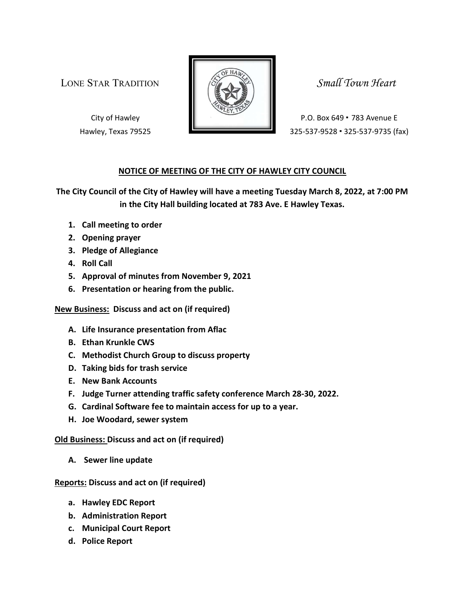LONE STAR TRADITION  $\left( \frac{S}{S} \right)$   $\mathbb{R}$   $\mathbb{R}$   $\mathbb{R}$  Small Town Heart



City of Hawley **P.O. Box 649 • 783 Avenue E** Hawley, Texas 79525 325-537-9528 · 325-537-9735 (fax)

### NOTICE OF MEETING OF THE CITY OF HAWLEY CITY COUNCIL

The City Council of the City of Hawley will have a meeting Tuesday March 8, 2022, at 7:00 PM in the City Hall building located at 783 Ave. E Hawley Texas.

- 1. Call meeting to order
- 2. Opening prayer
- 3. Pledge of Allegiance
- 4. Roll Call
- 5. Approval of minutes from November 9, 2021
- 6. Presentation or hearing from the public.

New Business: Discuss and act on (if required)

- A. Life Insurance presentation from Aflac
- B. Ethan Krunkle CWS
- C. Methodist Church Group to discuss property
- D. Taking bids for trash service
- E. New Bank Accounts
- F. Judge Turner attending traffic safety conference March 28-30, 2022.
- G. Cardinal Software fee to maintain access for up to a year.
- H. Joe Woodard, sewer system

Old Business: Discuss and act on (if required)

A. Sewer line update

## Reports: Discuss and act on (if required)

- a. Hawley EDC Report
- b. Administration Report
- c. Municipal Court Report
- d. Police Report